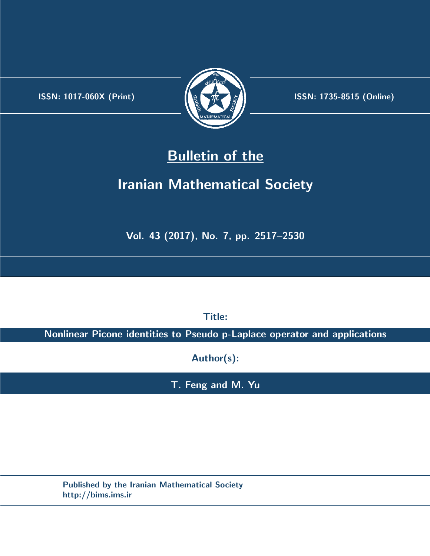.



**ISSN:** 1017-060X (Print)  $\left(\frac{1}{2}\right)$   $\frac{1}{2}$   $\frac{1}{2}$   $\frac{1}{2}$  **ISSN:** 1735-8515 (Online)

## **Bulletin of the**

# **Iranian Mathematical Society**

**Vol. 43 (2017), No. 7, pp. 2517–2530**

**Title:**

**Nonlinear Picone identities to Pseudo p-Laplace operator and applications**

**Author(s):**

**T. Feng and M. Yu**

**Published by the Iranian Mathematical Society http://bims.ims.ir**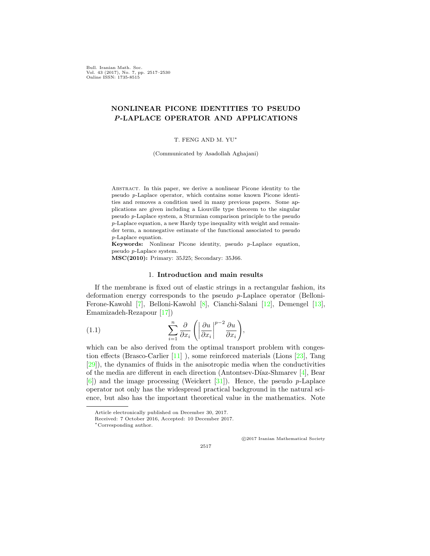Bull. Iranian Math. Soc. Vol. 43 (2017), No. 7, pp. 2517–2530 Online ISSN: 1735-8515

## **NONLINEAR PICONE IDENTITIES TO PSEUDO** *P***-LAPLACE OPERATOR AND APPLICATIONS**

T. FENG AND M. YU*∗*

(Communicated by Asadollah Aghajani)

Abstract. In this paper, we derive a nonlinear Picone identity to the pseudo *p*-Laplace operator, which contains some known Picone identities and removes a condition used in many previous papers. Some applications are given including a Liouville type theorem to the singular pseudo *p*-Laplace system, a Sturmian comparison principle to the pseudo *p*-Laplace equation, a new Hardy type inequality with weight and remainder term, a nonnegative estimate of the functional associated to pseudo *p*-Laplace equation.

**Keywords:** Nonlinear Picone identity, pseudo *p*-Laplace equation, pseudo *p*-Laplace system.

**MSC(2010):** Primary: 35J25; Secondary: 35J66.

#### <span id="page-1-0"></span>1. **Introduction and main results**

If the membrane is fixed out of elastic strings in a rectangular fashion, its deformation energy corresponds to the pseudo *p*-Laplace operator (Belloni-Ferone-Kawohl [\[7](#page-13-0)], Belloni-Kawohl [[8](#page-13-1)], Cianchi-Salani [\[12](#page-13-2)], Demengel [[13\]](#page-13-3), Emamizadeh-Rezapour [[17\]](#page-13-4))

(1.1) 
$$
\sum_{i=1}^{n} \frac{\partial}{\partial x_i} \left( \left| \frac{\partial u}{\partial x_i} \right|^{p-2} \frac{\partial u}{\partial x_i} \right),
$$

which can be also derived from the optimal transport problem with congestion effects (Brasco-Carlier [[11\]](#page-13-5) ), some reinforced materials (Lions [\[23](#page-13-6)], Tang [[29\]](#page-14-0)), the dynamics of fluids in the anisotropic media when the conductivities of the media are different in each direction (Antontsev-Díaz-Shmarev  $[4]$  $[4]$  $[4]$ , Bear [[6\]](#page-13-8)) and the image processing (Weickert [[31\]](#page-14-1)). Hence, the pseudo *p*-Laplace operator not only has the widespread practical background in the natural science, but also has the important theoretical value in the mathematics. Note

*⃝*c 2017 Iranian Mathematical Society

Article electronically published on December 30, 2017.

Received: 7 October 2016, Accepted: 10 December 2017.

*<sup>∗</sup>*Corresponding author.

<sup>2517</sup>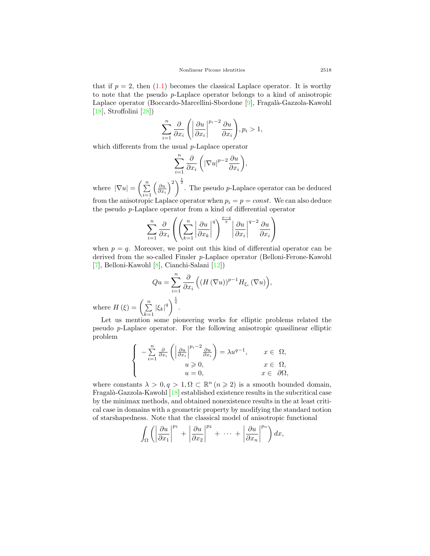that if  $p = 2$ , then  $(1.1)$  $(1.1)$  $(1.1)$  becomes the classical Laplace operator. It is worthy to note that the pseudo *p*-Laplace operator belongs to a kind of anisotropic Laplace operator (Boccardo-Marcellini-Sbordone  $[9]$  $[9]$ , Fragalà-Gazzola-Kawohl  $[18]$  $[18]$ , Stroffolini  $[28]$  $[28]$ 

$$
\sum_{i=1}^{n} \frac{\partial}{\partial x_i} \left( \left| \frac{\partial u}{\partial x_i} \right|^{p_i - 2} \frac{\partial u}{\partial x_i} \right), p_i > 1,
$$

which differents from the usual *p*-Laplace operator

$$
\sum_{i=1}^n \frac{\partial}{\partial x_i} \left( |\nabla u|^{p-2} \frac{\partial u}{\partial x_i} \right),
$$

where  $|\nabla u| = \left(\sum_{i=1}^n \right)$  $\left(\frac{\partial u}{\partial x_i}\right)^2$ <sup> $\frac{1}{2}$ </sup>. The pseudo *p*-Laplace operator can be deduced from the anisotropic Laplace operator when  $p_i = p = const$ . We can also deduce the pseudo *p*-Laplace operator from a kind of differential operator

$$
\sum_{i=1}^{n} \frac{\partial}{\partial x_i} \left( \left( \sum_{k=1}^{n} \left| \frac{\partial u}{\partial x_k} \right|^q \right)^{\frac{p-q}{q}} \left| \frac{\partial u}{\partial x_i} \right|^{q-2} \frac{\partial u}{\partial x_i} \right)
$$

when  $p = q$ . Moreover, we point out this kind of differential operator can be derived from the so-called Finsler *p*-Laplace operator (Belloni-Ferone-Kawohl [[7\]](#page-13-0), Belloni-Kawohl [[8](#page-13-1)], Cianchi-Salani [[12\]](#page-13-2))

$$
Qu = \sum_{i=1}^{n} \frac{\partial}{\partial x_i} \left( \left( H (\nabla u) \right)^{p-1} H_{\xi_i} (\nabla u) \right),
$$
  

$$
\sum |\xi_k|^q \bigg)^{\frac{1}{q}}.
$$

where  $H(\xi) = \left(\sum_{n=1}^{\infty} \frac{1}{n}\right)$ *k*=1 *|ξk|*

Let us mention some pioneering works for elliptic problems related the pseudo *p*-Laplace operator. For the following anisotropic quasilinear elliptic problem

$$
\begin{cases}\n-\sum_{i=1}^{n} \frac{\partial}{\partial x_i} \left( \left| \frac{\partial u}{\partial x_i} \right|^{p_i - 2} \frac{\partial u}{\partial x_i} \right) = \lambda u^{q-1}, & x \in \Omega, \\
u \ge 0, & x \in \Omega, \\
u = 0, & x \in \partial\Omega,\n\end{cases}
$$

where constants  $\lambda > 0, q > 1, \Omega \subset \mathbb{R}^n$  ( $n \geq 2$ ) is a smooth bounded domain, Fragalà-Gazzola-Kawohl [\[18](#page-13-10)] established existence results in the subcritical case by the minimax methods, and obtained nonexistence results in the at least critical case in domains with a geometric property by modifying the standard notion of starshapedness. Note that the classical model of anisotropic functional

$$
\int_{\Omega} \left( \left| \frac{\partial u}{\partial x_1} \right|^{p_1} + \left| \frac{\partial u}{\partial x_2} \right|^{p_2} + \cdots + \left| \frac{\partial u}{\partial x_n} \right|^{p_n} \right) dx,
$$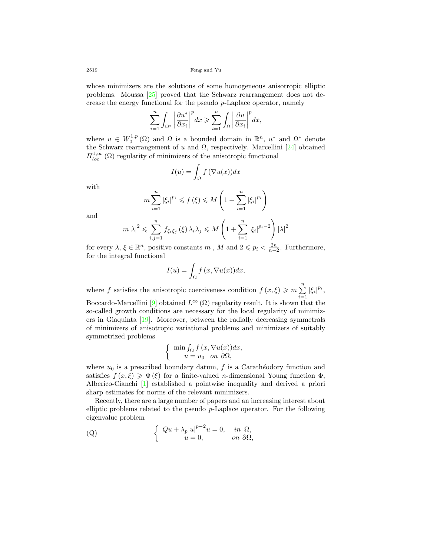whose minimizers are the solutions of some homogeneous anisotropic elliptic problems. Moussa [\[25](#page-13-11)] proved that the Schwarz rearrangement does not decrease the energy functional for the pseudo *p*-Laplace operator, namely

$$
\sum_{i=1}^n \int_{\Omega^*} \left| \frac{\partial u^*}{\partial x_i} \right|^p dx \geqslant \sum_{i=1}^n \int_{\Omega} \left| \frac{\partial u}{\partial x_i} \right|^p dx,
$$

where  $u \in W_0^{1,p}(\Omega)$  and  $\Omega$  is a bounded domain in  $\mathbb{R}^n$ ,  $u^*$  and  $\Omega^*$  denote the Schwarz rearrangement of *u* and  $\Omega$ , respectively. Marcellini [[24](#page-13-12)] obtained  $H_{loc}^{1,\infty}(\Omega)$  regularity of minimizers of the anisotropic functional

$$
I(u) = \int_{\Omega} f(\nabla u(x)) dx
$$

with

$$
m \sum_{i=1}^{n} |\xi_i|^{p_i} \leq f(\xi) \leq M \left( 1 + \sum_{i=1}^{n} |\xi_i|^{p_i} \right)
$$

and

$$
m|\lambda|^2 \leq \sum_{i,j=1}^n f_{\xi_i\xi_j}(\xi) \lambda_i \lambda_j \leq M \left(1 + \sum_{i=1}^n |\xi_i|^{p_i - 2}\right) |\lambda|^2
$$

for every  $\lambda, \xi \in \mathbb{R}^n$ , positive constants  $m$ ,  $M$  and  $2 \leqslant p_i < \frac{2n}{n-2}$ . Furthermore, for the integral functional

$$
I(u) = \int_{\Omega} f(x, \nabla u(x)) dx,
$$

where *f* satisfies the anisotropic coerciveness condition  $f(x,\xi) \geq m \sum_{i=1}^{n} |\xi_i|^{p_i}$ , Boccardo-Marcellini [[9](#page-13-9)] obtained  $L^{\infty}(\Omega)$  regularity result. It is shown that the so-called growth conditions are necessary for the local regularity of minimizers in Giaquinta [[19](#page-13-13)]. Moreover, between the radially decreasing symmetrals of minimizers of anisotropic variational problems and minimizers of suitably symmetrized problems

$$
\begin{cases} \min \int_{\Omega} f(x, \nabla u(x)) dx, \\ u = u_0 \quad on \ \partial \Omega, \end{cases}
$$

where  $u_0$  is a prescribed boundary datum,  $f$  is a Carathéodory function and satisfies  $f(x,\xi) \geq \Phi(\xi)$  for a finite-valued *n*-dimensional Young function  $\Phi$ , Alberico-Cianchi [\[1](#page-12-0)] established a pointwise inequality and derived a priori sharp estimates for norms of the relevant minimizers.

Recently, there are a large number of papers and an increasing interest about elliptic problems related to the pseudo *p*-Laplace operator. For the following eigenvalue problem

(Q) 
$$
\begin{cases} Qu + \lambda_p |u|^{p-2}u = 0, & \text{in } \Omega, \\ u = 0, & \text{on } \partial\Omega, \end{cases}
$$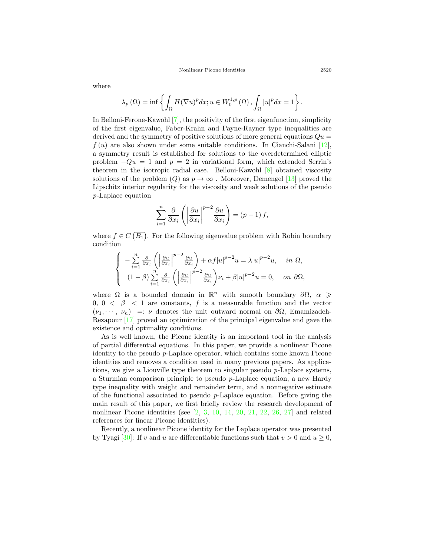Nonlinear Picone identities 2520

$$
\lambda_p(\Omega) = \inf \left\{ \int_{\Omega} H(\nabla u)^p dx; u \in W_0^{1,p}(\Omega) , \int_{\Omega} |u|^p dx = 1 \right\}
$$

In Belloni-Ferone-Kawohl [\[7](#page-13-0)], the positivity of the first eigenfunction, simplicity of the first eigenvalue, Faber-Krahn and Payne-Rayner type inequalities are derived and the symmetry of positive solutions of more general equations  $Qu =$ *f* (*u*) are also shown under some suitable conditions. In Cianchi-Salani [[12\]](#page-13-2), a symmetry result is established for solutions to the overdetermined elliptic problem  $-Qu = 1$  and  $p = 2$  in variational form, which extended Serrin's theorem in the isotropic radial case. Belloni-Kawohl [[8](#page-13-1)] obtained viscosity solutions of the problem  $(Q)$  as  $p \to \infty$ . Moreover, Demengel [[13\]](#page-13-3) proved the Lipschitz interior regularity for the viscosity and weak solutions of the pseudo *p*-Laplace equation

$$
\sum_{i=1}^{n} \frac{\partial}{\partial x_i} \left( \left| \frac{\partial u}{\partial x_i} \right|^{p-2} \frac{\partial u}{\partial x_i} \right) = (p-1) f,
$$

where  $f \in C(\overline{B_1})$ . For the following eigenvalue problem with Robin boundary condition

$$
\begin{cases}\n-\sum_{i=1}^{n} \frac{\partial}{\partial x_i} \left( \left| \frac{\partial u}{\partial x_i} \right|^{p-2} \frac{\partial u}{\partial x_i} \right) + \alpha f |u|^{p-2} u = \lambda |u|^{p-2} u, & \text{in } \Omega, \\
(1-\beta) \sum_{i=1}^{n} \frac{\partial}{\partial x_i} \left( \left| \frac{\partial u}{\partial x_i} \right|^{p-2} \frac{\partial u}{\partial x_i} \right) u_i + \beta |u|^{p-2} u = 0, & \text{on } \partial \Omega,\n\end{cases}
$$

where  $\Omega$  is a bounded domain in  $\mathbb{R}^n$  with smooth boundary  $\partial\Omega$ ,  $\alpha \geqslant$ 0, 0  $\lt \beta$   $\lt 1$  are constants, f is a measurable function and the vector  $(\nu_1, \dots, \nu_n) =: \nu$  denotes the unit outward normal on  $\partial \Omega$ , Emamizadeh-Rezapour [\[17](#page-13-4)] proved an optimization of the principal eigenvalue and gave the existence and optimality conditions.

As is well known, the Picone identity is an important tool in the analysis of partial differential equations. In this paper, we provide a nonlinear Picone identity to the pseudo *p*-Laplace operator, which contains some known Picone identities and removes a condition used in many previous papers. As applications, we give a Liouville type theorem to singular pseudo *p*-Laplace systems, a Sturmian comparison principle to pseudo *p*-Laplace equation, a new Hardy type inequality with weight and remainder term, and a nonnegative estimate of the functional associated to pseudo *p*-Laplace equation. Before giving the main result of this paper, we first briefly review the research development of nonlinear Picone identities (see  $[2, 3, 10, 14, 20, 21, 22, 26, 27]$  $[2, 3, 10, 14, 20, 21, 22, 26, 27]$  $[2, 3, 10, 14, 20, 21, 22, 26, 27]$  $[2, 3, 10, 14, 20, 21, 22, 26, 27]$  $[2, 3, 10, 14, 20, 21, 22, 26, 27]$  $[2, 3, 10, 14, 20, 21, 22, 26, 27]$  $[2, 3, 10, 14, 20, 21, 22, 26, 27]$  $[2, 3, 10, 14, 20, 21, 22, 26, 27]$  $[2, 3, 10, 14, 20, 21, 22, 26, 27]$  $[2, 3, 10, 14, 20, 21, 22, 26, 27]$  $[2, 3, 10, 14, 20, 21, 22, 26, 27]$  $[2, 3, 10, 14, 20, 21, 22, 26, 27]$  $[2, 3, 10, 14, 20, 21, 22, 26, 27]$  $[2, 3, 10, 14, 20, 21, 22, 26, 27]$  $[2, 3, 10, 14, 20, 21, 22, 26, 27]$  $[2, 3, 10, 14, 20, 21, 22, 26, 27]$  $[2, 3, 10, 14, 20, 21, 22, 26, 27]$  $[2, 3, 10, 14, 20, 21, 22, 26, 27]$  and related references for linear Picone identities).

Recently, a nonlinear Picone identity for the Laplace operator was presented by Tyagi [[30](#page-14-4)]: If *v* and *u* are differentiable functions such that  $v > 0$  and  $u > 0$ ,

where

*.*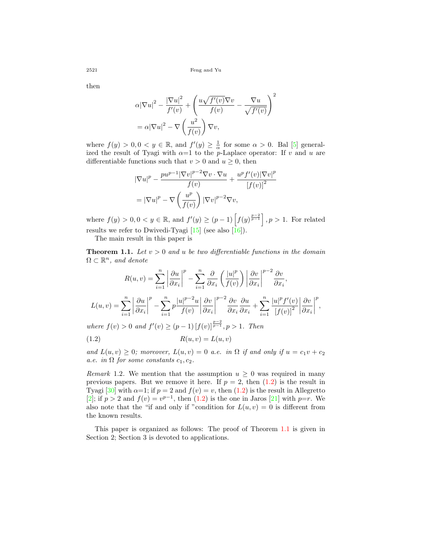then

$$
\alpha |\nabla u|^2 - \frac{|\nabla u|^2}{f'(v)} + \left(\frac{u\sqrt{f'(v)}\nabla v}{f(v)} - \frac{\nabla u}{\sqrt{f'(v)}}\right)^2
$$

$$
= \alpha |\nabla u|^2 - \nabla \left(\frac{u^2}{f(v)}\right) \nabla v,
$$

where  $f(y) > 0, 0 < y \in \mathbb{R}$ , and  $f'(y) \geq \frac{1}{\alpha}$  for some  $\alpha > 0$ . Bal [\[5](#page-13-20)] generalized the result of Tyagi with  $\alpha=1$  to the *p*-Laplace operator: If *v* and *u* are differentiable functions such that  $v > 0$  and  $u \ge 0$ , then

$$
|\nabla u|^p - \frac{pu^{p-1}|\nabla v|^{p-2}\nabla v \cdot \nabla u}{f(v)} + \frac{u^p f'(v)|\nabla v|^p}{[f(v)]^2}
$$

$$
= |\nabla u|^p - \nabla \left(\frac{u^p}{f(v)}\right) |\nabla v|^{p-2} \nabla v,
$$

where  $f(y) > 0, 0 < y \in \mathbb{R}$ , and  $f'(y) \ge (p-1) \left[ f(y)^{\frac{p-2}{p-1}} \right], p > 1$ . For related results we refer to Dwivedi-Tyagi  $[15]$  $[15]$  (see also  $[16]$  $[16]$ ).

The main result in this paper is

<span id="page-5-1"></span>**Theorem 1.1.** *Let v >* 0 *and u be two differentiable functions in the domain*  $\Omega \subset \mathbb{R}^n$ , and denote

$$
R(u, v) = \sum_{i=1}^{n} \left| \frac{\partial u}{\partial x_i} \right|^p - \sum_{i=1}^{n} \frac{\partial}{\partial x_i} \left( \frac{|u|^p}{f(v)} \right) \left| \frac{\partial v}{\partial x_i} \right|^{p-2} \frac{\partial v}{\partial x_i},
$$
  

$$
L(u, v) = \sum_{i=1}^{n} \left| \frac{\partial u}{\partial x_i} \right|^p - \sum_{i=1}^{n} p \frac{|u|^{p-2} u}{f(v)} \left| \frac{\partial v}{\partial x_i} \right|^{p-2} \frac{\partial v}{\partial x_i} \frac{\partial u}{\partial x_i} + \sum_{i=1}^{n} \frac{|u|^p f'(v)}{[f(v)]^2} \left| \frac{\partial v}{\partial x_i} \right|^p,
$$

*where*  $f(v) > 0$  *and*  $f'(v) \ge (p-1) [f(v)]^{\frac{p-2}{p-1}}, p > 1$ *. Then* 

<span id="page-5-0"></span>
$$
R(u, v) = L(u, v)
$$

*and*  $L(u, v) \geq 0$ ; moreover,  $L(u, v) = 0$  *a.e.* in  $\Omega$  if and only if  $u = c_1v + c_2$ *a.e.* in  $\Omega$  *for some constants*  $c_1$ ,  $c_2$ *.* 

*Remark* 1.2. We mention that the assumption  $u \geq 0$  was required in many previous papers. But we remove it here. If  $p = 2$ , then  $(1.2)$  $(1.2)$  is the result in Tyagi [[30\]](#page-14-4) with  $\alpha=1$ ; if  $p=2$  and  $f(v)=v$ , then ([1.2\)](#page-5-0) is the result in Allegretto [[2\]](#page-12-1); if  $p > 2$  and  $f(v) = v^{p-1}$ , then ([1.2](#page-5-0)) is the one in Jaros [[21\]](#page-13-17) with  $p=r$ . We also note that the "if and only if "condition for  $L(u, v) = 0$  is different from the known results.

This paper is organized as follows: The proof of Theorem [1.1](#page-5-1) is given in Section 2; Section 3 is devoted to applications.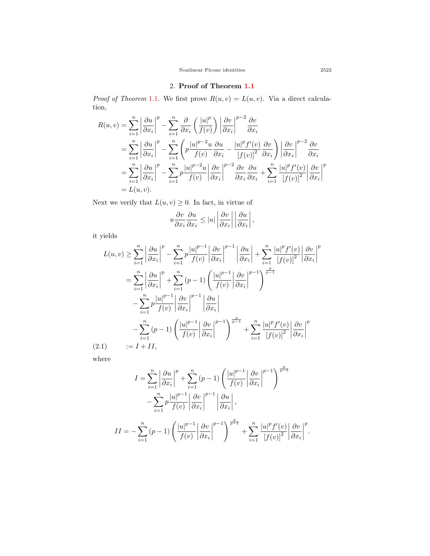Nonlinear Picone identities 2522

### 2. **Proof of Theorem [1.1](#page-5-1)**

*Proof of Theorem* [1.1](#page-5-1). We first prove  $R(u, v) = L(u, v)$ . Via a direct calculation,

$$
R(u, v) = \sum_{i=1}^{n} \left| \frac{\partial u}{\partial x_i} \right|^p - \sum_{i=1}^{n} \frac{\partial}{\partial x_i} \left( \frac{|u|^p}{f(v)} \right) \left| \frac{\partial v}{\partial x_i} \right|^{p-2} \frac{\partial v}{\partial x_i}
$$
  
\n
$$
= \sum_{i=1}^{n} \left| \frac{\partial u}{\partial x_i} \right|^p - \sum_{i=1}^{n} \left( p \frac{|u|^{p-2} u}{f(v)} \frac{\partial u}{\partial x_i} - \frac{|u|^p f'(v)}{|f(v)|^2} \frac{\partial v}{\partial x_i} \right) \left| \frac{\partial v}{\partial x_i} \right|^{p-2} \frac{\partial v}{\partial x_i}
$$
  
\n
$$
= \sum_{i=1}^{n} \left| \frac{\partial u}{\partial x_i} \right|^p - \sum_{i=1}^{n} p \frac{|u|^{p-2} u}{f(v)} \left| \frac{\partial v}{\partial x_i} \right|^{p-2} \frac{\partial v}{\partial x_i} \frac{\partial u}{\partial x_i} + \sum_{i=1}^{n} \frac{|u|^p f'(v)}{|f(v)|^2} \left| \frac{\partial v}{\partial x_i} \right|^p
$$
  
\n
$$
= L(u, v).
$$

Next we verify that  $L(u, v) \geq 0$ . In fact, in virtue of

$$
u\frac{\partial v}{\partial x_i}\frac{\partial u}{\partial x_i} \leq |u| \left|\frac{\partial v}{\partial x_i}\right| \left|\frac{\partial u}{\partial x_i}\right|,
$$

it yields

$$
L(u, v) \geq \sum_{i=1}^{n} \left| \frac{\partial u}{\partial x_i} \right|^p - \sum_{i=1}^{n} p \frac{|u|^{p-1}}{f(v)} \left| \frac{\partial v}{\partial x_i} \right|^{p-1} \left| \frac{\partial u}{\partial x_i} \right| + \sum_{i=1}^{n} \frac{|u|^p f'(v)}{[f(v)]^2} \left| \frac{\partial v}{\partial x_i} \right|^p
$$
  
\n
$$
= \sum_{i=1}^{n} \left| \frac{\partial u}{\partial x_i} \right|^p + \sum_{i=1}^{n} (p-1) \left( \frac{|u|^{p-1}}{f(v)} \left| \frac{\partial v}{\partial x_i} \right|^{p-1} \right)^{\frac{p}{p-1}}
$$
  
\n
$$
- \sum_{i=1}^{n} p \frac{|u|^{p-1}}{f(v)} \left| \frac{\partial v}{\partial x_i} \right|^{p-1} \left| \frac{\partial u}{\partial x_i} \right|
$$
  
\n
$$
- \sum_{i=1}^{n} (p-1) \left( \frac{|u|^{p-1}}{f(v)} \left| \frac{\partial v}{\partial x_i} \right|^{p-1} \right)^{\frac{p}{p-1}} + \sum_{i=1}^{n} \frac{|u|^p f'(v)}{[f(v)]^2} \left| \frac{\partial v}{\partial x_i} \right|^p
$$
  
\n(2.1) 
$$
:= I + II,
$$

<span id="page-6-0"></span>where

$$
I = \sum_{i=1}^{n} \left| \frac{\partial u}{\partial x_i} \right|^p + \sum_{i=1}^{n} (p-1) \left( \frac{|u|^{p-1}}{f(v)} \left| \frac{\partial v}{\partial x_i} \right|^{p-1} \right)^{\frac{p}{p-1}} - \sum_{i=1}^{n} p \frac{|u|^{p-1}}{f(v)} \left| \frac{\partial v}{\partial x_i} \right|^{p-1} \left| \frac{\partial u}{\partial x_i} \right|,
$$
  

$$
II = - \sum_{i=1}^{n} (p-1) \left( \frac{|u|^{p-1}}{f(v)} \left| \frac{\partial v}{\partial x_i} \right|^{p-1} \right)^{\frac{p}{p-1}} + \sum_{i=1}^{n} \frac{|u|^p f'(v)}{[f(v)]^2} \left| \frac{\partial v}{\partial x_i} \right|^p.
$$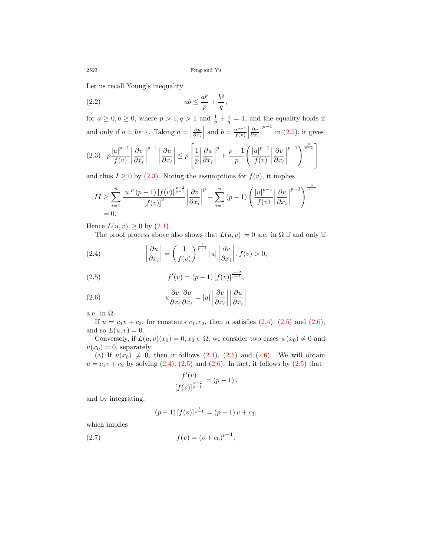Let us recall Young's inequality

<span id="page-7-0"></span>
$$
(2.2) \t\t ab \leq \frac{a^p}{p} + \frac{b^q}{q},
$$

for  $a \geq 0, b \geq 0$ , where  $p > 1, q > 1$  and  $\frac{1}{p} + \frac{1}{q} = 1$ , and the equality holds if and only if  $a = b^{\frac{1}{p-1}}$ . Taking  $a = \vert$ *∂u ∂x<sup>i</sup>* and  $b = \frac{u^{p-1}}{f(u)}$  $\frac{u^{p-1}}{f(v)}$ *∂v ∂x<sup>i</sup> p*<sup>−1</sup> in [\(2.2\)](#page-7-0), it gives

<span id="page-7-1"></span>
$$
(2.3) \quad p\frac{|u|^{p-1}}{f(v)}\left|\frac{\partial v}{\partial x_i}\right|^{p-1}\left|\frac{\partial u}{\partial x_i}\right| \le p\left[\frac{1}{p}\left|\frac{\partial u}{\partial x_i}\right|^p + \frac{p-1}{p}\left(\frac{|u|^{p-1}}{f(v)}\left|\frac{\partial v}{\partial x_i}\right|^{p-1}\right)^{\frac{p}{p-1}}\right]
$$

and thus  $I \geq 0$  by ([2.3\)](#page-7-1). Noting the assumptions for  $f(v)$ , it implies

$$
II \geq \sum_{i=1}^{n} \frac{|u|^p (p-1) [f(v)]^{\frac{p-2}{p-1}}}{[f(v)]^2} \left| \frac{\partial v}{\partial x_i} \right|^p - \sum_{i=1}^{n} (p-1) \left( \frac{|u|^{p-1}}{f(v)} \left| \frac{\partial v}{\partial x_i} \right|^{p-1} \right)^{\frac{p}{p-1}} = 0.
$$

Hence  $L(u, v) \geq 0$  by  $(2.1)$  $(2.1)$ .

<span id="page-7-2"></span>The proof process above also shows that  $L(u, v) = 0$  a.e. in  $\Omega$  if and only if

(2.4) 
$$
\left|\frac{\partial u}{\partial x_i}\right| = \left(\frac{1}{f(v)}\right)^{\frac{1}{p-1}} |u| \left|\frac{\partial v}{\partial x_i}\right|, f(v) > 0,
$$

<span id="page-7-3"></span>(2.5) 
$$
f'(v) = (p-1) [f(v)]^{\frac{p-2}{p-1}},
$$

<span id="page-7-4"></span>(2.6) 
$$
u \frac{\partial v}{\partial x_i} \frac{\partial u}{\partial x_i} = |u| \left| \frac{\partial v}{\partial x_i} \right| \left| \frac{\partial u}{\partial x_i} \right|
$$

a.e. in  $\Omega$ .

If  $u = c_1v + c_2$ , for constants  $c_1, c_2$ , then *u* satisfies [\(2.4\)](#page-7-2), [\(2.5](#page-7-3)) and ([2.6\)](#page-7-4), and so  $L(u, v) = 0$ .

Conversely, if  $L(u, v)(x_0) = 0, x_0 \in \Omega$ , we consider two cases  $u(x_0) \neq 0$  and  $u(x_0) = 0$ , separately.

(a) If  $u(x_0) \neq 0$ , then it follows  $(2.4)$ ,  $(2.5)$  $(2.5)$  $(2.5)$  and  $(2.6)$  $(2.6)$ . We will obtain  $u = c_1v + c_2$  by solving  $(2.4)$  $(2.4)$  $(2.4)$ ,  $(2.5)$  and  $(2.6)$ . In fact, it follows by  $(2.5)$  $(2.5)$  that

$$
\frac{f'(v)}{[f(v)]^{\frac{p-2}{p-1}}} = (p-1),
$$

and by integrating,

<span id="page-7-5"></span>
$$
(p-1) [f(v)]^{\frac{1}{p-1}} = (p-1)v + c_3,
$$

which implies

(2.7) 
$$
f(v) = (v + c_0)^{p-1};
$$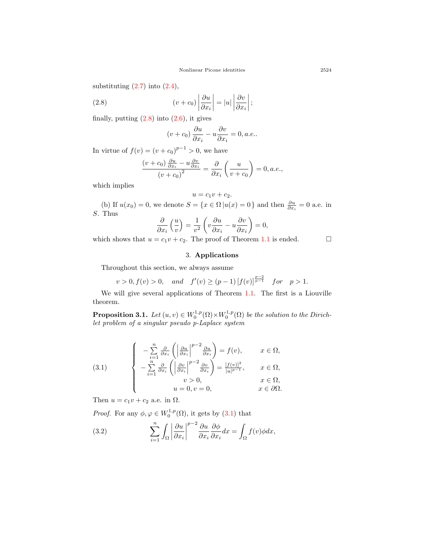substituting  $(2.7)$  $(2.7)$  into  $(2.4)$  $(2.4)$ ,

(2.8) 
$$
(v + c_0) \left| \frac{\partial u}{\partial x_i} \right| = |u| \left| \frac{\partial v}{\partial x_i} \right|;
$$

finally, putting  $(2.8)$  $(2.8)$  into  $(2.6)$  $(2.6)$ , it gives

<span id="page-8-0"></span>
$$
(v + c_0) \frac{\partial u}{\partial x_i} - u \frac{\partial v}{\partial x_i} = 0, a.e..
$$

In virtue of  $f(v) = (v + c_0)^{p-1} > 0$ , we have

$$
\frac{(v+c_0)\frac{\partial u}{\partial x_i} - u\frac{\partial v}{\partial x_i}}{(v+c_0)^2} = \frac{\partial}{\partial x_i} \left(\frac{u}{v+c_0}\right) = 0, a.e.,
$$

which implies

$$
u = c_1 v + c_2.
$$
\n(b) If  $u(x_0) = 0$ , we denote  $S = \{x \in \Omega | u(x) = 0\}$  and then  $\frac{\partial u}{\partial x_i} = 0$  a.e. in  $S$ . Thus

$$
\frac{\partial}{\partial x_i}\left(\frac{u}{v}\right) = \frac{1}{v^2}\left(v\frac{\partial u}{\partial x_i} - u\frac{\partial v}{\partial x_i}\right) = 0,
$$

which shows that  $u = c_1 v + c_2$ . The proof of Theorem [1.1](#page-5-1) is ended.  $\Box$ 

### 3. **Applications**

Throughout this section, we always assume

$$
v > 0, f(v) > 0
$$
, and  $f'(v) \ge (p-1) [f(v)]^{\frac{p-2}{p-1}}$  for  $p > 1$ .

We will give several applications of Theorem [1.1.](#page-5-1) The first is a Liouville theorem.

**Proposition 3.1.** *Let*  $(u, v) \in W_0^{1,p}(\Omega) \times W_0^{1,p}(\Omega)$  *be the solution to the Dirichlet problem of a singular pseudo p-Laplace system*

<span id="page-8-1"></span>(3.1) 
$$
\begin{cases}\n-\sum_{i=1}^{n} \frac{\partial}{\partial x_i} \left( \left| \frac{\partial u}{\partial x_i} \right|^{p-2} \frac{\partial u}{\partial x_i} \right) = f(v), & x \in \Omega, \\
-\sum_{i=1}^{n} \frac{\partial}{\partial x_i} \left( \left| \frac{\partial v}{\partial x_i} \right|^{p-2} \frac{\partial v}{\partial x_i} \right) = \frac{[f(v)]^2}{|u|^{p-1}}, & x \in \Omega, \\
v > 0, & x \in \Omega, \\
u = 0, v = 0, & x \in \partial\Omega.\n\end{cases}
$$

Then  $u = c_1v + c_2$  a.e. in  $\Omega$ .

*Proof.* For any  $\phi, \varphi \in W_0^{1,p}(\Omega)$ , it gets by ([3.1\)](#page-8-1) that

<span id="page-8-2"></span>(3.2) 
$$
\sum_{i=1}^{n} \int_{\Omega} \left| \frac{\partial u}{\partial x_{i}} \right|^{p-2} \frac{\partial u}{\partial x_{i}} \frac{\partial \phi}{\partial x_{i}} dx = \int_{\Omega} f(v) \phi dx,
$$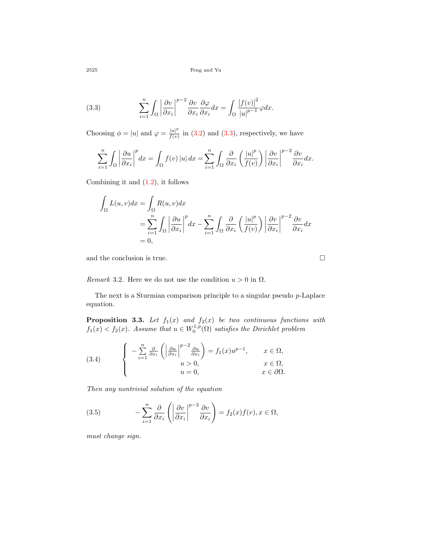<span id="page-9-0"></span>(3.3) 
$$
\sum_{i=1}^{n} \int_{\Omega} \left| \frac{\partial v}{\partial x_{i}} \right|^{p-2} \frac{\partial v}{\partial x_{i}} \frac{\partial \varphi}{\partial x_{i}} dx = \int_{\Omega} \frac{\left[ f(v) \right]^{2}}{\left| u \right|^{p-1}} \varphi dx.
$$

Choosing  $\phi = |u|$  and  $\varphi = \frac{|u|^p}{f(v)}$  $\frac{|u|^2}{f(v)}$  in ([3.2\)](#page-8-2) and ([3.3\)](#page-9-0), respectively, we have

$$
\sum_{i=1}^{n} \int_{\Omega} \left| \frac{\partial u}{\partial x_i} \right|^p dx = \int_{\Omega} f(v) |u| dx = \sum_{i=1}^{n} \int_{\Omega} \frac{\partial}{\partial x_i} \left( \frac{|u|^p}{f(v)} \right) \left| \frac{\partial v}{\partial x_i} \right|^{p-2} \frac{\partial v}{\partial x_i} dx.
$$

Combining it and ([1.2\)](#page-5-0), it follows

$$
\int_{\Omega} L(u, v) dx = \int_{\Omega} R(u, v) dx
$$
  
= 
$$
\sum_{i=1}^{n} \int_{\Omega} \left| \frac{\partial u}{\partial x_i} \right|^p dx - \sum_{i=1}^{n} \int_{\Omega} \frac{\partial}{\partial x_i} \left( \frac{|u|^p}{f(v)} \right) \left| \frac{\partial v}{\partial x_i} \right|^{p-2} \frac{\partial v}{\partial x_i} dx
$$
  
= 0,

and the conclusion is true.  $\hfill \square$ 

*Remark* 3.2. Here we do not use the condition  $u > 0$  in  $\Omega$ .

The next is a Sturmian comparison principle to a singular pseudo *p*-Laplace equation.

**Proposition 3.3.** *Let f*1(*x*) *and f*2(*x*) *be two continuous functions with*  $f_1(x) < f_2(x)$ . Assume that  $u \in W_0^{1,p}(\Omega)$  satisfies the Dirichlet problem

<span id="page-9-2"></span>(3.4) 
$$
\begin{cases}\n-\sum_{i=1}^{n} \frac{\partial}{\partial x_i} \left( \left| \frac{\partial u}{\partial x_i} \right|^{p-2} \frac{\partial u}{\partial x_i} \right) = f_1(x) u^{p-1}, & x \in \Omega, \\
u > 0, & x \in \Omega, \\
u = 0, & x \in \partial \Omega.\n\end{cases}
$$

*Then any nontrivial solution of the equation*

<span id="page-9-1"></span>(3.5) 
$$
-\sum_{i=1}^{n} \frac{\partial}{\partial x_i} \left( \left| \frac{\partial v}{\partial x_i} \right|^{p-2} \frac{\partial v}{\partial x_i} \right) = f_2(x) f(v), x \in \Omega,
$$

*must change sign.*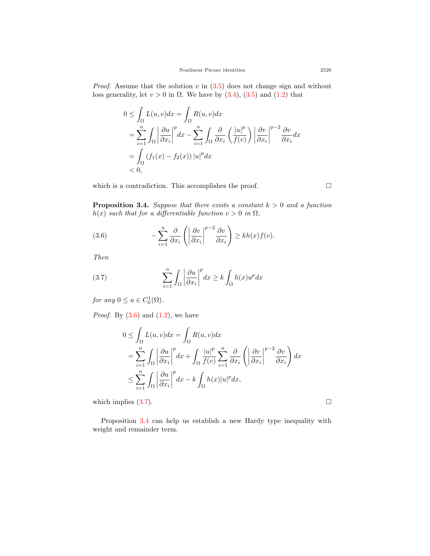*Proof.* Assume that the solution *v* in [\(3.5\)](#page-9-1) does not change sign and without loss generality, let  $v > 0$  in  $\Omega$ . We have by  $(3.4)$  $(3.4)$ ,  $(3.5)$  $(3.5)$  $(3.5)$  and  $(1.2)$  $(1.2)$  $(1.2)$  that

$$
0 \leq \int_{\Omega} L(u, v) dx = \int_{\Omega} R(u, v) dx
$$
  
= 
$$
\sum_{i=1}^{n} \int_{\Omega} \left| \frac{\partial u}{\partial x_i} \right|^p dx - \sum_{i=1}^{n} \int_{\Omega} \frac{\partial}{\partial x_i} \left( \frac{|u|^p}{f(v)} \right) \left| \frac{\partial v}{\partial x_i} \right|^{p-2} \frac{\partial v}{\partial x_i} dx
$$
  
= 
$$
\int_{\Omega} (f_1(x) - f_2(x)) |u|^p dx
$$
  
< 0,

which is a contradiction. This accomplishes the proof.  $□$ 

<span id="page-10-2"></span>**Proposition 3.4.** *Suppose that there exists a constant*  $k > 0$  *and a function h*(*x*) *such that for a differentiable function*  $v > 0$  *in*  $\Omega$ *,* 

<span id="page-10-0"></span>(3.6) 
$$
-\sum_{i=1}^{n} \frac{\partial}{\partial x_i} \left( \left| \frac{\partial v}{\partial x_i} \right|^{p-2} \frac{\partial v}{\partial x_i} \right) \ge kh(x)f(v).
$$

*Then*

<span id="page-10-1"></span>(3.7) 
$$
\sum_{i=1}^{n} \int_{\Omega} \left| \frac{\partial u}{\partial x_{i}} \right|^{p} dx \geq k \int_{\Omega} h(x) u^{p} dx
$$

*for any*  $0 \le u \in C_0^1(\Omega)$ *.* 

*Proof.* By ([3.6\)](#page-10-0) and ([1.2\)](#page-5-0), we have

$$
0 \leq \int_{\Omega} L(u, v) dx = \int_{\Omega} R(u, v) dx
$$
  
= 
$$
\sum_{i=1}^{n} \int_{\Omega} \left| \frac{\partial u}{\partial x_i} \right|^p dx + \int_{\Omega} \frac{|u|^p}{f(v)} \sum_{i=1}^{n} \frac{\partial}{\partial x_i} \left( \left| \frac{\partial v}{\partial x_i} \right|^{p-2} \frac{\partial v}{\partial x_i} \right) dx
$$
  

$$
\leq \sum_{i=1}^{n} \int_{\Omega} \left| \frac{\partial u}{\partial x_i} \right|^p dx - k \int_{\Omega} h(x) |u|^p dx,
$$

which implies  $(3.7)$  $(3.7)$ .

Proposition [3.4](#page-10-2) can help us establish a new Hardy type inequality with weight and remainder term.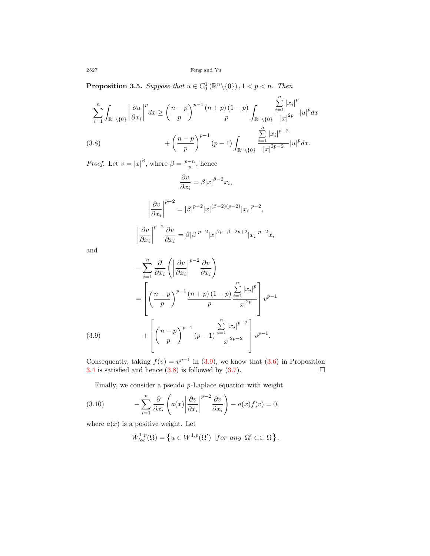**Proposition 3.5.** *Suppose that*  $u \in C_0^1(\mathbb{R}^n \setminus \{0\})$ ,  $1 < p < n$ *. Then* 

$$
\sum_{i=1}^{n} \int_{\mathbb{R}^n \setminus \{0\}} \left| \frac{\partial u}{\partial x_i} \right|^p dx \ge \left( \frac{n-p}{p} \right)^{p-1} \frac{(n+p)(1-p)}{p} \int_{\mathbb{R}^n \setminus \{0\}} \frac{\sum_{i=1}^n |x_i|^p}{|x|^{2p}} |u|^p dx + \left( \frac{n-p}{p} \right)^{p-1} (p-1) \int_{\mathbb{R}^n \setminus \{0\}} \frac{\sum_{i=1}^n |x_i|^{p-2}}{|x|^{2p-2}} |u|^p dx.
$$
\n(3.8)

<span id="page-11-1"></span>*Proof.* Let  $v = |x|^{\beta}$ , where  $\beta = \frac{p-n}{p}$ , hence

$$
\frac{\partial v}{\partial x_i} = \beta |x|^{\beta - 2} x_i,
$$

$$
\left| \frac{\partial v}{\partial x_i} \right|^{p-2} = |\beta|^{p-2} |x|^{(\beta - 2)(p-2)} |x_i|^{p-2},
$$

$$
\left| \frac{\partial v}{\partial x_i} \right|^{p-2} \frac{\partial v}{\partial x_i} = \beta |\beta|^{p-2} |x|^{\beta p - \beta - 2p + 2} |x_i|^{p-2} x_i
$$

and

$$
-\sum_{i=1}^{n} \frac{\partial}{\partial x_i} \left( \left| \frac{\partial v}{\partial x_i} \right|^{p-2} \frac{\partial v}{\partial x_i} \right)
$$
  

$$
= \left[ \left( \frac{n-p}{p} \right)^{p-1} \frac{(n+p)(1-p)}{p} \frac{\sum_{i=1}^{n} |x_i|^p}{|x|^{2p}} \right] v^{p-1}
$$
  
(3.9)  

$$
+ \left[ \left( \frac{n-p}{p} \right)^{p-1} (p-1) \frac{\sum_{i=1}^{n} |x_i|^{p-2}}{|x|^{2p-2}} \right] v^{p-1}.
$$

<span id="page-11-0"></span>Consequently, taking  $f(v) = v^{p-1}$  in ([3.9](#page-11-0)), we know that ([3.6](#page-10-0)) in Proposition [3.4](#page-10-2) is satisfied and hence  $(3.8)$  $(3.8)$  is followed by  $(3.7)$  $(3.7)$ .

Finally, we consider a pseudo *p*-Laplace equation with weight

(3.10) 
$$
-\sum_{i=1}^{n} \frac{\partial}{\partial x_i} \left( a(x) \left| \frac{\partial v}{\partial x_i} \right|^{p-2} \frac{\partial v}{\partial x_i} \right) - a(x) f(v) = 0,
$$

where  $a(x)$  is a positive weight. Let

<span id="page-11-2"></span>
$$
W_{loc}^{1,p}(\Omega) = \left\{ u \in W^{1,p}(\Omega') \mid for \ any \ \Omega' \subset\subset \Omega \right\}.
$$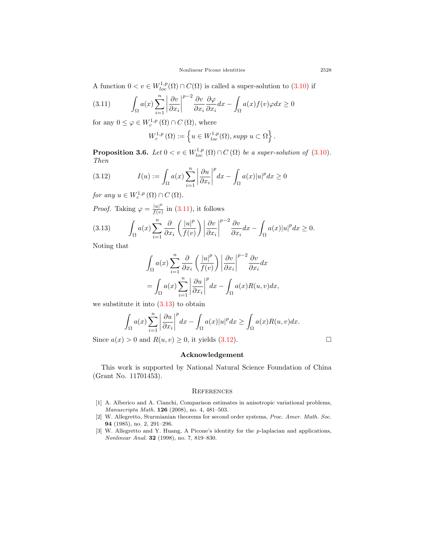A function  $0 < v \in W^{1,p}_{loc}(\Omega) \cap C(\Omega)$  is called a super-solution to ([3.10](#page-11-2)) if

<span id="page-12-3"></span>(3.11) 
$$
\int_{\Omega} a(x) \sum_{i=1}^{n} \left| \frac{\partial v}{\partial x_i} \right|^{p-2} \frac{\partial v}{\partial x_i} \frac{\partial \varphi}{\partial x_i} dx - \int_{\Omega} a(x) f(v) \varphi dx \ge 0
$$

for any  $0 \leq \varphi \in W_c^{1,p}(\Omega) \cap C(\Omega)$ , where

<span id="page-12-5"></span>
$$
W_c^{1,p}(\Omega) := \left\{ u \in W_{loc}^{1,p}(\Omega), \text{supp } u \subset \Omega \right\}.
$$

**Proposition 3.6.** *Let*  $0 < v \in W^{1,p}_{loc}(\Omega) \cap C(\Omega)$  *be a super-solution of* ([3.10](#page-11-2))*. Then*

(3.12) 
$$
I(u) := \int_{\Omega} a(x) \sum_{i=1}^{n} \left| \frac{\partial u}{\partial x_i} \right|^p dx - \int_{\Omega} a(x) |u|^p dx \ge 0
$$

*for any*  $u \in W_c^{1,p}(\Omega) \cap C(\Omega)$ *.* 

*Proof.* Taking  $\varphi = \frac{|u|^p}{f(u)}$  $\frac{|u|^r}{f(v)}$  in ([3.11](#page-12-3)), it follows

<span id="page-12-4"></span>(3.13) 
$$
\int_{\Omega} a(x) \sum_{i=1}^{n} \frac{\partial}{\partial x_{i}} \left( \frac{|u|^{p}}{f(v)} \right) \left| \frac{\partial v}{\partial x_{i}} \right|^{p-2} \frac{\partial v}{\partial x_{i}} dx - \int_{\Omega} a(x) |u|^{p} dx \ge 0.
$$

Noting that

$$
\int_{\Omega} a(x) \sum_{i=1}^{n} \frac{\partial}{\partial x_i} \left( \frac{|u|^p}{f(v)} \right) \left| \frac{\partial v}{\partial x_i} \right|^{p-2} \frac{\partial v}{\partial x_i} dx
$$

$$
= \int_{\Omega} a(x) \sum_{i=1}^{n} \left| \frac{\partial u}{\partial x_i} \right|^{p} dx - \int_{\Omega} a(x) R(u, v) dx,
$$

we substitute it into  $(3.13)$  $(3.13)$  to obtain

$$
\int_{\Omega} a(x) \sum_{i=1}^{n} \left| \frac{\partial u}{\partial x_i} \right|^p dx - \int_{\Omega} a(x) |u|^p dx \ge \int_{\Omega} a(x) R(u, v) dx.
$$

Since  $a(x) > 0$  and  $R(u, v) \geq 0$ , it yields ([3.12](#page-12-5)).

#### **Acknowledgement**

This work is supported by National Natural Science Foundation of China (Grant No. 11701453).

#### **REFERENCES**

- <span id="page-12-0"></span>[1] A. Alberico and A. Cianchi, Comparison estimates in anisotropic variational problems, *Manuscripta Math.* **126** (2008), no. 4, 481–503.
- <span id="page-12-1"></span>[2] W. Allegretto, Sturmianian theorems for second order systems, *Proc. Amer. Math. Soc.* **94** (1985), no. 2, 291–296.
- <span id="page-12-2"></span>[3] W. Allegretto and Y. Huang, A Picone's identity for the *p*-laplacian and applications, *Nonlinear Anal.* **32** (1998), no. 7, 819–830.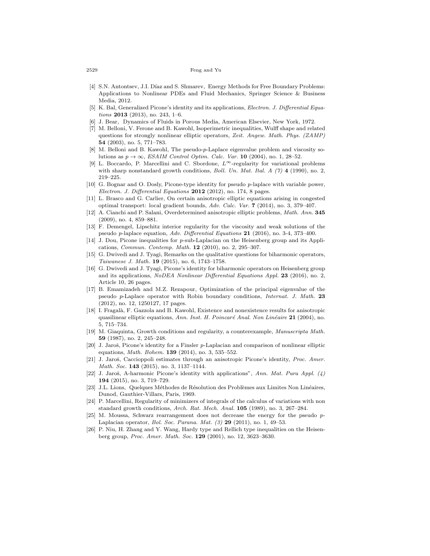- <span id="page-13-7"></span>[4] S.N. Antontsev, J.I. Díaz and S. Shmarev, Energy Methods for Free Boundary Problems: Applications to Nonlinear PDEs and Fluid Mechanics, Springer Science & Business Media, 2012.
- <span id="page-13-20"></span>[5] K. Bal, Generalized Picone's identity and its applications, *Electron. J. Differential Equations* **2013** (2013), no. 243, 1–6.
- <span id="page-13-8"></span>[6] J. Bear, Dynamics of Fluids in Porous Media, American Elsevier, New York, 1972.
- <span id="page-13-0"></span>[7] M. Belloni, V. Ferone and B. Kawohl, Isoperimetric inequalities, Wulff shape and related questions for strongly nonlinear elliptic operators, *Zeit. Angew. Math. Phys. (ZAMP)* **54** (2003), no. 5, 771–783.
- <span id="page-13-1"></span>[8] M. Belloni and B. Kawohl, The pseudo-*p*-Laplace eigenvalue problem and viscosity solutions as  $p \rightarrow \infty$ , *ESAIM Control Optim. Calc. Var.* **10** (2004), no. 1, 28–52.
- <span id="page-13-9"></span>[9] L. Boccardo, P. Marcellini and C. Sbordone, *L∞*-regularity for variational problems with sharp nonstandard growth conditions, *Boll. Un. Mat. Ital. A (7)* **4** (1990), no. 2, 219–225.
- <span id="page-13-14"></span>[10] G. Bognar and O. Dosly, Picone-type identity for pseudo *p*-laplace with variable power, *Electron. J. Differential Equations* **2012** (2012), no. 174, 8 pages.
- <span id="page-13-5"></span>[11] L. Brasco and G. Carlier, On certain anisotropic elliptic equations arising in congested optimal transport: local gradient bounds, *Adv. Calc. Var.* **7** (2014), no. 3, 379–407.
- <span id="page-13-2"></span>[12] A. Cianchi and P. Salani, Overdetermined anisotropic elliptic problems, *Math. Ann.* **345** (2009), no. 4, 859–881.
- <span id="page-13-3"></span>[13] F. Demengel, Lipschitz interior regularity for the viscosity and weak solutions of the pseudo *p*-laplace equation, *Adv. Differential Equations* **21** (2016), no. 3-4, 373–400.
- <span id="page-13-15"></span>[14] J. Dou, Picone inequalities for *p*-sub-Laplacian on the Heisenberg group and its Applications, *Commun. Contemp. Math.* **12** (2010), no. 2, 295–307.
- <span id="page-13-21"></span>[15] G. Dwivedi and J. Tyagi, Remarks on the qualitative questions for biharmonic operators, *Taiwanese J. Math.* **19** (2015), no. 6, 1743–1758.
- <span id="page-13-22"></span>[16] G. Dwivedi and J. Tyagi, Picone's identity for biharmonic operators on Heisenberg group and its applications, *NoDEA Nonlinear Differential Equations Appl.* **23** (2016), no. 2, Article 10, 26 pages.
- <span id="page-13-4"></span>[17] B. Emamizadeh and M.Z. Rezapour, Optimization of the principal eigenvalue of the pseudo *p*-Laplace operator with Robin boundary conditions, *Internat. J. Math.* **23** (2012), no. 12, 1250127, 17 pages.
- <span id="page-13-10"></span>[18] I. Fragalà, F. Gazzola and B. Kawohl, Existence and nonexistence results for anisotropic quasilinear elliptic equations, *Ann. Inst. H. Poincaré Anal. Non Linéaire* 21 (2004), no. 5, 715–734.
- <span id="page-13-13"></span>[19] M. Giaquinta, Growth conditions and regularity, a counterexample, *Manuscripta Math.* **59** (1987), no. 2, 245–248.
- <span id="page-13-16"></span>[20] J. Jaroš, Picone's identity for a Finsler p-Laplacian and comparison of nonlinear elliptic equations, *Math. Bohem.* **139** (2014), no. 3, 535–552.
- <span id="page-13-17"></span>[21] J. Jaroš, Caccioppoli estimates through an anisotropic Picone's identity, *Proc. Amer. Math. Soc.* **143** (2015), no. 3, 1137–1144.
- <span id="page-13-18"></span>[22] J. Jaroš, A-harmonic Picone's identity with applications", Ann. Mat. Pura Appl. (4) **194** (2015), no. 3, 719–729.
- <span id="page-13-6"></span>[23] J.L. Lions, Quelques Méthodes de Résolution des Problèmes aux Limites Non Linéaires, Dunod, Gauthier-Villars, Paris, 1969.
- <span id="page-13-12"></span>[24] P. Marcellini, Regularity of minimizers of integrals of the calculus of variations with non standard growth conditions, *Arch. Rat. Mech. Anal.* **105** (1989), no. 3, 267–284.
- <span id="page-13-11"></span>[25] M. Moussa, Schwarz rearrangement does not decrease the energy for the pseudo *p*-Laplacian operator, *Bol. Soc. Parana. Mat. (3)* **29** (2011), no. 1, 49–53.
- <span id="page-13-19"></span>[26] P. Niu, H. Zhang and Y. Wang, Hardy type and Rellich type inequalities on the Heisenberg group, *Proc. Amer. Math. Soc.* **129** (2001), no. 12, 3623–3630.